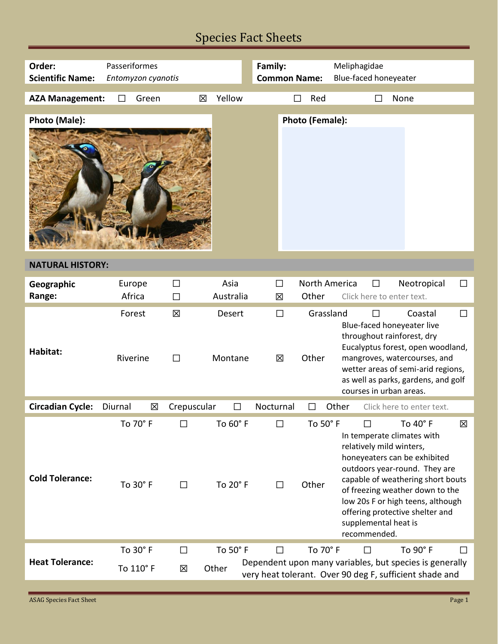## Species Fact Sheets

| Order:                  | Passeriformes         |             | Family:              |                     | Meliphagidae       |                                                                                                                                                                                                                                                                                                                                  |  |  |  |
|-------------------------|-----------------------|-------------|----------------------|---------------------|--------------------|----------------------------------------------------------------------------------------------------------------------------------------------------------------------------------------------------------------------------------------------------------------------------------------------------------------------------------|--|--|--|
| <b>Scientific Name:</b> | Entomyzon cyanotis    |             |                      | <b>Common Name:</b> |                    | Blue-faced honeyeater                                                                                                                                                                                                                                                                                                            |  |  |  |
|                         |                       |             |                      |                     |                    |                                                                                                                                                                                                                                                                                                                                  |  |  |  |
| <b>AZA Management:</b>  | Green<br>$\perp$      | 区           | Yellow               |                     | Red<br>П           | None                                                                                                                                                                                                                                                                                                                             |  |  |  |
| Photo (Male):           |                       |             |                      |                     | Photo (Female):    |                                                                                                                                                                                                                                                                                                                                  |  |  |  |
| <b>NATURAL HISTORY:</b> |                       |             |                      |                     |                    |                                                                                                                                                                                                                                                                                                                                  |  |  |  |
|                         |                       |             |                      |                     |                    |                                                                                                                                                                                                                                                                                                                                  |  |  |  |
| Geographic              | Europe                | $\Box$      | Asia                 | $\Box$              | North America      | Neotropical<br>$\Box$<br>$\Box$                                                                                                                                                                                                                                                                                                  |  |  |  |
| Range:                  | Africa                | $\Box$      | Australia            | 区                   | Other              | Click here to enter text.                                                                                                                                                                                                                                                                                                        |  |  |  |
| Habitat:                | Forest<br>Riverine    | 区<br>$\Box$ | Desert<br>Montane    | $\Box$<br>区         | Grassland<br>Other | Coastal<br>$\Box$<br>П<br>Blue-faced honeyeater live<br>throughout rainforest, dry<br>Eucalyptus forest, open woodland,<br>mangroves, watercourses, and<br>wetter areas of semi-arid regions,<br>as well as parks, gardens, and golf<br>courses in urban areas.                                                                  |  |  |  |
| <b>Circadian Cycle:</b> | Diurnal<br>区          | Crepuscular | $\mathsf{L}$         | Nocturnal           | ΙI                 | Other<br>Click here to enter text.                                                                                                                                                                                                                                                                                               |  |  |  |
| <b>Cold Tolerance:</b>  | To 70° F<br>To 30° F  | П           | To 60° F<br>To 20° F | ΙI<br>$\perp$       | To 50° F<br>Other  | To 40° F<br>図<br>In temperate climates with<br>relatively mild winters,<br>honeyeaters can be exhibited<br>outdoors year-round. They are<br>capable of weathering short bouts<br>of freezing weather down to the<br>low 20s F or high teens, although<br>offering protective shelter and<br>supplemental heat is<br>recommended. |  |  |  |
| <b>Heat Tolerance:</b>  | To 30° F<br>To 110° F | ΙI<br>区     | To 50° F<br>Other    | $\Box$              | To 70° F           | To 90° F<br>П<br>Dependent upon many variables, but species is generally<br>very heat tolerant. Over 90 deg F, sufficient shade and                                                                                                                                                                                              |  |  |  |
|                         |                       |             |                      |                     |                    |                                                                                                                                                                                                                                                                                                                                  |  |  |  |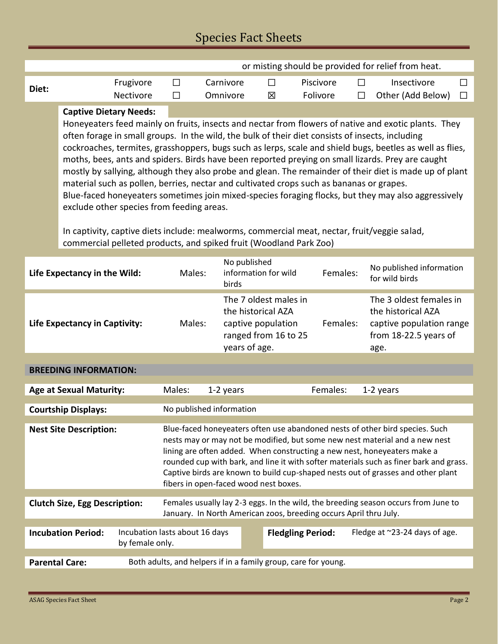## Species Fact Sheets

|                                                                                                                                                                    | or misting should be provided for relief from heat.                                                                                              |                                                                |                                                                                                                                                                                                              |                                                                                                           |                                             |                          |                                                                   |        |                                               |        |  |
|--------------------------------------------------------------------------------------------------------------------------------------------------------------------|--------------------------------------------------------------------------------------------------------------------------------------------------|----------------------------------------------------------------|--------------------------------------------------------------------------------------------------------------------------------------------------------------------------------------------------------------|-----------------------------------------------------------------------------------------------------------|---------------------------------------------|--------------------------|-------------------------------------------------------------------|--------|-----------------------------------------------|--------|--|
| Diet:                                                                                                                                                              |                                                                                                                                                  | Frugivore                                                      | $\Box$                                                                                                                                                                                                       | Carnivore                                                                                                 | $\Box$                                      |                          | Piscivore                                                         | $\Box$ | Insectivore                                   | $\Box$ |  |
|                                                                                                                                                                    |                                                                                                                                                  | <b>Nectivore</b>                                               | П                                                                                                                                                                                                            | Omnivore                                                                                                  | 冈                                           |                          | Folivore                                                          | $\Box$ | Other (Add Below)                             | П      |  |
|                                                                                                                                                                    | <b>Captive Dietary Needs:</b>                                                                                                                    |                                                                |                                                                                                                                                                                                              |                                                                                                           |                                             |                          |                                                                   |        |                                               |        |  |
|                                                                                                                                                                    |                                                                                                                                                  |                                                                | Honeyeaters feed mainly on fruits, insects and nectar from flowers of native and exotic plants. They                                                                                                         |                                                                                                           |                                             |                          |                                                                   |        |                                               |        |  |
|                                                                                                                                                                    |                                                                                                                                                  |                                                                | often forage in small groups. In the wild, the bulk of their diet consists of insects, including                                                                                                             |                                                                                                           |                                             |                          |                                                                   |        |                                               |        |  |
|                                                                                                                                                                    |                                                                                                                                                  |                                                                |                                                                                                                                                                                                              | cockroaches, termites, grasshoppers, bugs such as lerps, scale and shield bugs, beetles as well as flies, |                                             |                          |                                                                   |        |                                               |        |  |
|                                                                                                                                                                    |                                                                                                                                                  |                                                                | moths, bees, ants and spiders. Birds have been reported preying on small lizards. Prey are caught<br>mostly by sallying, although they also probe and glean. The remainder of their diet is made up of plant |                                                                                                           |                                             |                          |                                                                   |        |                                               |        |  |
|                                                                                                                                                                    |                                                                                                                                                  |                                                                | material such as pollen, berries, nectar and cultivated crops such as bananas or grapes.                                                                                                                     |                                                                                                           |                                             |                          |                                                                   |        |                                               |        |  |
|                                                                                                                                                                    |                                                                                                                                                  |                                                                |                                                                                                                                                                                                              |                                                                                                           |                                             |                          |                                                                   |        |                                               |        |  |
|                                                                                                                                                                    | Blue-faced honeyeaters sometimes join mixed-species foraging flocks, but they may also aggressively<br>exclude other species from feeding areas. |                                                                |                                                                                                                                                                                                              |                                                                                                           |                                             |                          |                                                                   |        |                                               |        |  |
|                                                                                                                                                                    |                                                                                                                                                  |                                                                |                                                                                                                                                                                                              |                                                                                                           |                                             |                          |                                                                   |        |                                               |        |  |
| In captivity, captive diets include: mealworms, commercial meat, nectar, fruit/veggie salad,<br>commercial pelleted products, and spiked fruit (Woodland Park Zoo) |                                                                                                                                                  |                                                                |                                                                                                                                                                                                              |                                                                                                           |                                             |                          |                                                                   |        |                                               |        |  |
|                                                                                                                                                                    |                                                                                                                                                  |                                                                |                                                                                                                                                                                                              |                                                                                                           |                                             |                          |                                                                   |        |                                               |        |  |
|                                                                                                                                                                    |                                                                                                                                                  |                                                                |                                                                                                                                                                                                              |                                                                                                           | No published                                |                          |                                                                   |        | No published information                      |        |  |
|                                                                                                                                                                    | Life Expectancy in the Wild:                                                                                                                     |                                                                | Males:                                                                                                                                                                                                       | birds                                                                                                     | information for wild                        |                          | Females:                                                          |        | for wild birds                                |        |  |
|                                                                                                                                                                    |                                                                                                                                                  |                                                                |                                                                                                                                                                                                              |                                                                                                           |                                             |                          |                                                                   |        |                                               |        |  |
|                                                                                                                                                                    |                                                                                                                                                  |                                                                |                                                                                                                                                                                                              |                                                                                                           | The 7 oldest males in<br>the historical AZA |                          |                                                                   |        | The 3 oldest females in<br>the historical AZA |        |  |
| <b>Life Expectancy in Captivity:</b>                                                                                                                               |                                                                                                                                                  |                                                                | Males:                                                                                                                                                                                                       |                                                                                                           | captive population                          |                          | Females:                                                          |        | captive population range                      |        |  |
|                                                                                                                                                                    |                                                                                                                                                  |                                                                |                                                                                                                                                                                                              |                                                                                                           | ranged from 16 to 25                        |                          |                                                                   |        | from 18-22.5 years of                         |        |  |
|                                                                                                                                                                    |                                                                                                                                                  |                                                                |                                                                                                                                                                                                              |                                                                                                           | years of age.                               |                          |                                                                   |        | age.                                          |        |  |
|                                                                                                                                                                    |                                                                                                                                                  |                                                                |                                                                                                                                                                                                              |                                                                                                           |                                             |                          |                                                                   |        |                                               |        |  |
|                                                                                                                                                                    | <b>BREEDING INFORMATION:</b>                                                                                                                     |                                                                |                                                                                                                                                                                                              |                                                                                                           |                                             |                          |                                                                   |        |                                               |        |  |
| <b>Age at Sexual Maturity:</b>                                                                                                                                     |                                                                                                                                                  |                                                                | Males:                                                                                                                                                                                                       | 1-2 years                                                                                                 |                                             |                          | Females:                                                          |        | 1-2 years                                     |        |  |
|                                                                                                                                                                    |                                                                                                                                                  |                                                                |                                                                                                                                                                                                              |                                                                                                           |                                             |                          |                                                                   |        |                                               |        |  |
| No published information<br><b>Courtship Displays:</b>                                                                                                             |                                                                                                                                                  |                                                                |                                                                                                                                                                                                              |                                                                                                           |                                             |                          |                                                                   |        |                                               |        |  |
| <b>Nest Site Description:</b>                                                                                                                                      |                                                                                                                                                  |                                                                | Blue-faced honeyeaters often use abandoned nests of other bird species. Such                                                                                                                                 |                                                                                                           |                                             |                          |                                                                   |        |                                               |        |  |
|                                                                                                                                                                    |                                                                                                                                                  |                                                                | nests may or may not be modified, but some new nest material and a new nest<br>lining are often added. When constructing a new nest, honeyeaters make a                                                      |                                                                                                           |                                             |                          |                                                                   |        |                                               |        |  |
|                                                                                                                                                                    |                                                                                                                                                  |                                                                | rounded cup with bark, and line it with softer materials such as finer bark and grass.                                                                                                                       |                                                                                                           |                                             |                          |                                                                   |        |                                               |        |  |
|                                                                                                                                                                    |                                                                                                                                                  |                                                                | Captive birds are known to build cup-shaped nests out of grasses and other plant                                                                                                                             |                                                                                                           |                                             |                          |                                                                   |        |                                               |        |  |
| fibers in open-faced wood nest boxes.                                                                                                                              |                                                                                                                                                  |                                                                |                                                                                                                                                                                                              |                                                                                                           |                                             |                          |                                                                   |        |                                               |        |  |
| <b>Clutch Size, Egg Description:</b>                                                                                                                               |                                                                                                                                                  |                                                                | Females usually lay 2-3 eggs. In the wild, the breeding season occurs from June to                                                                                                                           |                                                                                                           |                                             |                          |                                                                   |        |                                               |        |  |
|                                                                                                                                                                    |                                                                                                                                                  |                                                                |                                                                                                                                                                                                              |                                                                                                           |                                             |                          | January. In North American zoos, breeding occurs April thru July. |        |                                               |        |  |
|                                                                                                                                                                    | <b>Incubation Period:</b>                                                                                                                        | Incubation lasts about 16 days                                 |                                                                                                                                                                                                              |                                                                                                           |                                             | <b>Fledgling Period:</b> |                                                                   |        | Fledge at ~23-24 days of age.                 |        |  |
|                                                                                                                                                                    |                                                                                                                                                  | by female only.                                                |                                                                                                                                                                                                              |                                                                                                           |                                             |                          |                                                                   |        |                                               |        |  |
| <b>Parental Care:</b>                                                                                                                                              |                                                                                                                                                  | Both adults, and helpers if in a family group, care for young. |                                                                                                                                                                                                              |                                                                                                           |                                             |                          |                                                                   |        |                                               |        |  |
|                                                                                                                                                                    |                                                                                                                                                  |                                                                |                                                                                                                                                                                                              |                                                                                                           |                                             |                          |                                                                   |        |                                               |        |  |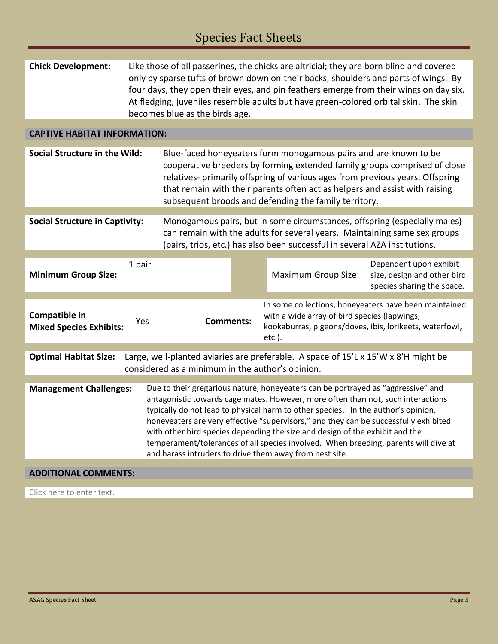| <b>Chick Development:</b>                                                                                                                                                                                                                                                                                                                                                                                                                                                                                                                                                                                            | Like those of all passerines, the chicks are altricial; they are born blind and covered<br>only by sparse tufts of brown down on their backs, shoulders and parts of wings. By<br>four days, they open their eyes, and pin feathers emerge from their wings on day six.<br>At fledging, juveniles resemble adults but have green-colored orbital skin. The skin<br>becomes blue as the birds age. |                  |  |                                                                                                                                                                                                                                                                                                                                                                        |                                                                                     |  |  |  |
|----------------------------------------------------------------------------------------------------------------------------------------------------------------------------------------------------------------------------------------------------------------------------------------------------------------------------------------------------------------------------------------------------------------------------------------------------------------------------------------------------------------------------------------------------------------------------------------------------------------------|---------------------------------------------------------------------------------------------------------------------------------------------------------------------------------------------------------------------------------------------------------------------------------------------------------------------------------------------------------------------------------------------------|------------------|--|------------------------------------------------------------------------------------------------------------------------------------------------------------------------------------------------------------------------------------------------------------------------------------------------------------------------------------------------------------------------|-------------------------------------------------------------------------------------|--|--|--|
| <b>CAPTIVE HABITAT INFORMATION:</b>                                                                                                                                                                                                                                                                                                                                                                                                                                                                                                                                                                                  |                                                                                                                                                                                                                                                                                                                                                                                                   |                  |  |                                                                                                                                                                                                                                                                                                                                                                        |                                                                                     |  |  |  |
| Social Structure in the Wild:                                                                                                                                                                                                                                                                                                                                                                                                                                                                                                                                                                                        |                                                                                                                                                                                                                                                                                                                                                                                                   |                  |  | Blue-faced honeyeaters form monogamous pairs and are known to be<br>cooperative breeders by forming extended family groups comprised of close<br>relatives- primarily offspring of various ages from previous years. Offspring<br>that remain with their parents often act as helpers and assist with raising<br>subsequent broods and defending the family territory. |                                                                                     |  |  |  |
| <b>Social Structure in Captivity:</b><br>Monogamous pairs, but in some circumstances, offspring (especially males)<br>can remain with the adults for several years. Maintaining same sex groups<br>(pairs, trios, etc.) has also been successful in several AZA institutions.                                                                                                                                                                                                                                                                                                                                        |                                                                                                                                                                                                                                                                                                                                                                                                   |                  |  |                                                                                                                                                                                                                                                                                                                                                                        |                                                                                     |  |  |  |
| <b>Minimum Group Size:</b>                                                                                                                                                                                                                                                                                                                                                                                                                                                                                                                                                                                           | 1 pair                                                                                                                                                                                                                                                                                                                                                                                            |                  |  | <b>Maximum Group Size:</b>                                                                                                                                                                                                                                                                                                                                             | Dependent upon exhibit<br>size, design and other bird<br>species sharing the space. |  |  |  |
| Compatible in<br><b>Mixed Species Exhibits:</b>                                                                                                                                                                                                                                                                                                                                                                                                                                                                                                                                                                      | Yes                                                                                                                                                                                                                                                                                                                                                                                               | <b>Comments:</b> |  | In some collections, honeyeaters have been maintained<br>with a wide array of bird species (lapwings,<br>kookaburras, pigeons/doves, ibis, lorikeets, waterfowl,<br>$etc.$ ).                                                                                                                                                                                          |                                                                                     |  |  |  |
| Large, well-planted aviaries are preferable. A space of 15'L x 15'W x 8'H might be<br><b>Optimal Habitat Size:</b><br>considered as a minimum in the author's opinion.                                                                                                                                                                                                                                                                                                                                                                                                                                               |                                                                                                                                                                                                                                                                                                                                                                                                   |                  |  |                                                                                                                                                                                                                                                                                                                                                                        |                                                                                     |  |  |  |
| Due to their gregarious nature, honeyeaters can be portrayed as "aggressive" and<br><b>Management Challenges:</b><br>antagonistic towards cage mates. However, more often than not, such interactions<br>typically do not lead to physical harm to other species. In the author's opinion,<br>honeyeaters are very effective "supervisors," and they can be successfully exhibited<br>with other bird species depending the size and design of the exhibit and the<br>temperament/tolerances of all species involved. When breeding, parents will dive at<br>and harass intruders to drive them away from nest site. |                                                                                                                                                                                                                                                                                                                                                                                                   |                  |  |                                                                                                                                                                                                                                                                                                                                                                        |                                                                                     |  |  |  |
| <b>ADDITIONAL COMMENTS:</b>                                                                                                                                                                                                                                                                                                                                                                                                                                                                                                                                                                                          |                                                                                                                                                                                                                                                                                                                                                                                                   |                  |  |                                                                                                                                                                                                                                                                                                                                                                        |                                                                                     |  |  |  |
| Click here to enter text.                                                                                                                                                                                                                                                                                                                                                                                                                                                                                                                                                                                            |                                                                                                                                                                                                                                                                                                                                                                                                   |                  |  |                                                                                                                                                                                                                                                                                                                                                                        |                                                                                     |  |  |  |